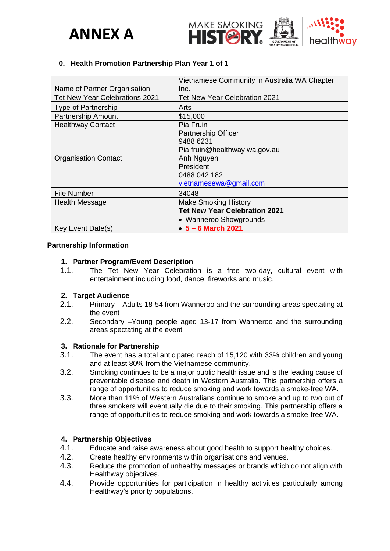



### **0. Health Promotion Partnership Plan Year 1 of 1**

|                                | Vietnamese Community in Australia WA Chapter |
|--------------------------------|----------------------------------------------|
| Name of Partner Organisation   | Inc.                                         |
| Tet New Year Celebrations 2021 | <b>Tet New Year Celebration 2021</b>         |
| <b>Type of Partnership</b>     | Arts                                         |
| <b>Partnership Amount</b>      | \$15,000                                     |
| <b>Healthway Contact</b>       | Pia Fruin                                    |
|                                | <b>Partnership Officer</b>                   |
|                                | 9488 6231                                    |
|                                | Pia.fruin@healthway.wa.gov.au                |
| <b>Organisation Contact</b>    | Anh Nguyen                                   |
|                                | President                                    |
|                                | 0488 042 182                                 |
|                                | vietnamesewa@gmail.com                       |
| <b>File Number</b>             | 34048                                        |
| <b>Health Message</b>          | <b>Make Smoking History</b>                  |
|                                | <b>Tet New Year Celebration 2021</b>         |
|                                | • Wanneroo Showgrounds                       |
| Key Event Date(s)              | $• 5 - 6$ March 2021                         |

#### **Partnership Information**

#### **1. Partner Program/Event Description**

1.1. The Tet New Year Celebration is a free two-day, cultural event with entertainment including food, dance, fireworks and music.

### **2. Target Audience**

- 2.1. Primary Adults 18-54 from Wanneroo and the surrounding areas spectating at the event
- 2.2. Secondary –Young people aged 13-17 from Wanneroo and the surrounding areas spectating at the event

### **3. Rationale for Partnership**

- 3.1. The event has a total anticipated reach of 15,120 with 33% children and young and at least 80% from the Vietnamese community.
- 3.2. Smoking continues to be a major public health issue and is the leading cause of preventable disease and death in Western Australia. This partnership offers a range of opportunities to reduce smoking and work towards a smoke-free WA.
- 3.3. More than 11% of Western Australians continue to smoke and up to two out of three smokers will eventually die due to their smoking. This partnership offers a range of opportunities to reduce smoking and work towards a smoke-free WA.

### **4. Partnership Objectives**

- 4.1. Educate and raise awareness about good health to support healthy choices.
- 4.2. Create healthy environments within organisations and venues.
- 4.3. Reduce the promotion of unhealthy messages or brands which do not align with Healthway objectives.
- 4.4. Provide opportunities for participation in healthy activities particularly among Healthway's priority populations.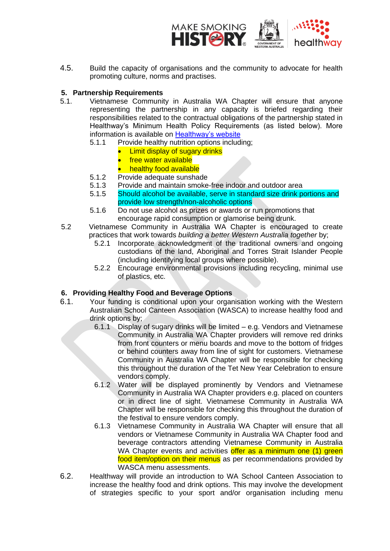

4.5. Build the capacity of organisations and the community to advocate for health promoting culture, norms and practises.

### **5. Partnership Requirements**

- 5.1. Vietnamese Community in Australia WA Chapter will ensure that anyone representing the partnership in any capacity is briefed regarding their responsibilities related to the contractual obligations of the partnership stated in Healthway's Minimum Health Policy Requirements (as listed below). More information is available on [Healthway's website](http://www.healthway.wa.gov.au/funding-policies/minimum-health-policy-requirements-for-sponsored-organisations/).)
	- 5.1.1 Provide healthy nutrition options including;
		- **Limit display of sugary drinks**
		- free water available
		- **healthy food available**
	- 5.1.2 Provide adequate sunshade
	- 5.1.3 Provide and maintain smoke-free indoor and outdoor area
	- 5.1.5 Should alcohol be available, serve in standard size drink portions and provide low strength/non-alcoholic options
	- 5.1.6 Do not use alcohol as prizes or awards or run promotions that encourage rapid consumption or glamorise being drunk.
- 5.2 Vietnamese Community in Australia WA Chapter is encouraged to create practices that work towards *building a better Western Australia together* by;
	- 5.2.1 Incorporate acknowledgment of the traditional owners and ongoing custodians of the land, Aboriginal and Torres Strait Islander People (including identifying local groups where possible).
	- 5.2.2 Encourage environmental provisions including recycling, minimal use of plastics, etc.

### **6. Providing Healthy Food and Beverage Options**

- 6.1. Your funding is conditional upon your organisation working with the Western Australian School Canteen Association (WASCA) to increase healthy food and drink options by;
	- 6.1.1 Display of sugary drinks will be limited e.g. Vendors and Vietnamese Community in Australia WA Chapter providers will remove red drinks from front counters or menu boards and move to the bottom of fridges or behind counters away from line of sight for customers. Vietnamese Community in Australia WA Chapter will be responsible for checking this throughout the duration of the Tet New Year Celebration to ensure vendors comply.
	- 6.1.2 Water will be displayed prominently by Vendors and Vietnamese Community in Australia WA Chapter providers e.g. placed on counters or in direct line of sight. Vietnamese Community in Australia WA Chapter will be responsible for checking this throughout the duration of the festival to ensure vendors comply.
	- 6.1.3 Vietnamese Community in Australia WA Chapter will ensure that all vendors or Vietnamese Community in Australia WA Chapter food and beverage contractors attending Vietnamese Community in Australia WA Chapter events and activities offer as a minimum one (1) green food item/option on their menus as per recommendations provided by WASCA menu assessments.
- 6.2. Healthway will provide an introduction to WA School Canteen Association to increase the healthy food and drink options. This may involve the development of strategies specific to your sport and/or organisation including menu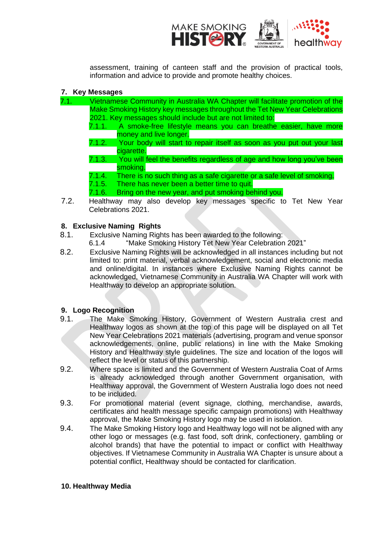

assessment, training of canteen staff and the provision of practical tools, information and advice to provide and promote healthy choices.

# **7. Key Messages**

- 7.1. Vietnamese Community in Australia WA Chapter will facilitate promotion of the Make Smoking History key messages throughout the Tet New Year Celebrations 2021. Key messages should include but are not limited to:
	- 7.1.1. A smoke-free lifestyle means you can breathe easier, have more money and live longer.
	- 7.1.2. Your body will start to repair itself as soon as you put out your last cigarette.
	- 7.1.3. You will feel the benefits regardless of age and how long you've been smoking.
	- 7.1.4. There is no such thing as a safe cigarette or a safe level of smoking.<br>7.1.5. There has never been a better time to quit.
	- There has never been a better time to quit.
	- 7.1.6. Bring on the new year, and put smoking behind you.
- 7.2. Healthway may also develop key messages specific to Tet New Year Celebrations 2021.

## **8. Exclusive Naming Rights**

- 8.1. Exclusive Naming Rights has been awarded to the following:<br>6.1.4 "Make Smoking History Tet New Year Celebration
	- "Make Smoking History Tet New Year Celebration 2021"
- 8.2. Exclusive Naming Rights will be acknowledged in all instances including but not limited to: print material, verbal acknowledgement, social and electronic media and online/digital. In instances where Exclusive Naming Rights cannot be acknowledged, Vietnamese Community in Australia WA Chapter will work with Healthway to develop an appropriate solution.

### **9. Logo Recognition**

- 9.1. The Make Smoking History, Government of Western Australia crest and Healthway logos as shown at the top of this page will be displayed on all Tet New Year Celebrations 2021 materials (advertising, program and venue sponsor acknowledgements, online, public relations) in line with the Make Smoking History and Healthway style guidelines. The size and location of the logos will reflect the level or status of this partnership.
- 9.2. Where space is limited and the Government of Western Australia Coat of Arms is already acknowledged through another Government organisation, with Healthway approval, the Government of Western Australia logo does not need to be included.
- 9.3. For promotional material (event signage, clothing, merchandise, awards, certificates and health message specific campaign promotions) with Healthway approval, the Make Smoking History logo may be used in isolation.
- 9.4. The Make Smoking History logo and Healthway logo will not be aligned with any other logo or messages (e.g. fast food, soft drink, confectionery, gambling or alcohol brands) that have the potential to impact or conflict with Healthway objectives. If Vietnamese Community in Australia WA Chapter is unsure about a potential conflict, Healthway should be contacted for clarification.

### **10. Healthway Media**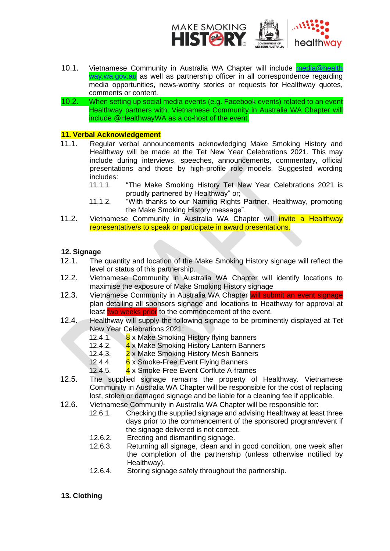

- 10.1. Vietnamese Community in Australia WA Chapter will include media@health [way.wa.gov.au](mailto:media@healthway.wa.gov.au) as well as partnership officer in all correspondence regarding media opportunities, news-worthy stories or requests for Healthway quotes, comments or content.
- 10.2. When setting up social media events (e.g. Facebook events) related to an event Healthway partners with, Vietnamese Community in Australia WA Chapter will include @HealthwayWA as a co-host of the event.

# **11. Verbal Acknowledgement**

- 11.1. Regular verbal announcements acknowledging Make Smoking History and Healthway will be made at the Tet New Year Celebrations 2021. This may include during interviews, speeches, announcements, commentary, official presentations and those by high-profile role models. Suggested wording includes:<br>11.1.1.
	- "The Make Smoking History Tet New Year Celebrations 2021 is proudly partnered by Healthway" or;
	- 11.1.2. "With thanks to our Naming Rights Partner, Healthway, promoting the Make Smoking History message".
- 11.2. Vietnamese Community in Australia WA Chapter will *invite a Healthway* representative/s to speak or participate in award presentations.

### **12. Signage**

- 12.1. The quantity and location of the Make Smoking History signage will reflect the level or status of this partnership.
- 12.2. Vietnamese Community in Australia WA Chapter will identify locations to maximise the exposure of Make Smoking History signage
- 12.3. Vietnamese Community in Australia WA Chapter will submit an event signage plan detailing all sponsors signage and locations to Heathway for approval at least two weeks prior to the commencement of the event.
- 12.4. Healthway will supply the following signage to be prominently displayed at Tet New Year Celebrations 2021:
	- 12.4.1. 8 x Make Smoking History flying banners
	- 12.4.2. 4 x Make Smoking History Lantern Banners
	- 12.4.3. 2 x Make Smoking History Mesh Banners
	- 12.4.4. 6 x Smoke-Free Event Flying Banners
	- 12.4.5. 4 x Smoke-Free Event Corflute A-frames
- 12.5. The supplied signage remains the property of Healthway. Vietnamese Community in Australia WA Chapter will be responsible for the cost of replacing lost, stolen or damaged signage and be liable for a cleaning fee if applicable.
- 12.6. Vietnamese Community in Australia WA Chapter will be responsible for:<br>12.6.1. Checking the supplied signage and advising Healthway at lea
	- Checking the supplied signage and advising Healthway at least three days prior to the commencement of the sponsored program/event if the signage delivered is not correct.
	- 12.6.2. Erecting and dismantling signage.
	- 12.6.3. Returning all signage, clean and in good condition, one week after the completion of the partnership (unless otherwise notified by Healthway).
	- 12.6.4. Storing signage safely throughout the partnership.

# **13. Clothing**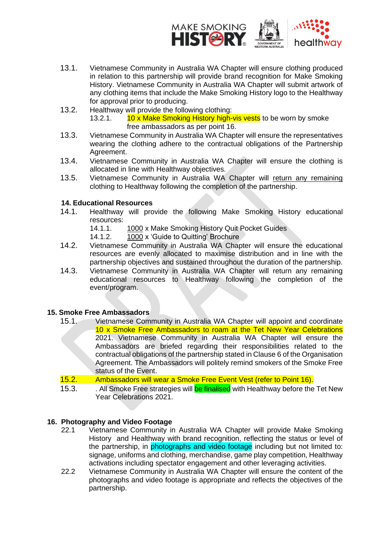

- 13.1. Vietnamese Community in Australia WA Chapter will ensure clothing produced in relation to this partnership will provide brand recognition for Make Smoking History. Vietnamese Community in Australia WA Chapter will submit artwork of any clothing items that include the Make Smoking History logo to the Healthway for approval prior to producing.
- 13.2. Healthway will provide the following clothing:<br>13.2.1. 10 x Make Smoking History high-10 x Make Smoking History high-vis vests to be worn by smoke free ambassadors as per point 16.
- 13.3. Vietnamese Community in Australia WA Chapter will ensure the representatives wearing the clothing adhere to the contractual obligations of the Partnership Agreement.
- 13.4. Vietnamese Community in Australia WA Chapter will ensure the clothing is allocated in line with Healthway objectives.
- 13.5. Vietnamese Community in Australia WA Chapter will return any remaining clothing to Healthway following the completion of the partnership.

# **14. Educational Resources**

- 14.1. Healthway will provide the following Make Smoking History educational resources:
	- 14.1.1. 1000 x Make Smoking History Quit Pocket Guides
	- 14.1.2. 1000 x 'Guide to Quitting' Brochure
- 14.2. Vietnamese Community in Australia WA Chapter will ensure the educational resources are evenly allocated to maximise distribution and in line with the partnership objectives and sustained throughout the duration of the partnership.
- 14.3. Vietnamese Community in Australia WA Chapter will return any remaining educational resources to Healthway following the completion of the event/program.

### **15. Smoke Free Ambassadors**

- 15.1. Vietnamese Community in Australia WA Chapter will appoint and coordinate 10 x Smoke Free Ambassadors to roam at the Tet New Year Celebrations 2021. Vietnamese Community in Australia WA Chapter will ensure the Ambassadors are briefed regarding their responsibilities related to the contractual obligations of the partnership stated in Clause 6 of the Organisation Agreement. The Ambassadors will politely remind smokers of the Smoke Free status of the Event.
- 15.2. Ambassadors will wear a Smoke Free Event Vest (refer to Point 16).
- 15.3. All Smoke Free strategies will be finalised with Healthway before the Tet New Year Celebrations 2021.

### **16. Photography and Video Footage**

- 22.1 Vietnamese Community in Australia WA Chapter will provide Make Smoking History and Healthway with brand recognition, reflecting the status or level of the partnership, in photographs and video footage including but not limited to: signage, uniforms and clothing, merchandise, game play competition, Healthway activations including spectator engagement and other leveraging activities.
- 22.2 Vietnamese Community in Australia WA Chapter will ensure the content of the photographs and video footage is appropriate and reflects the objectives of the partnership.